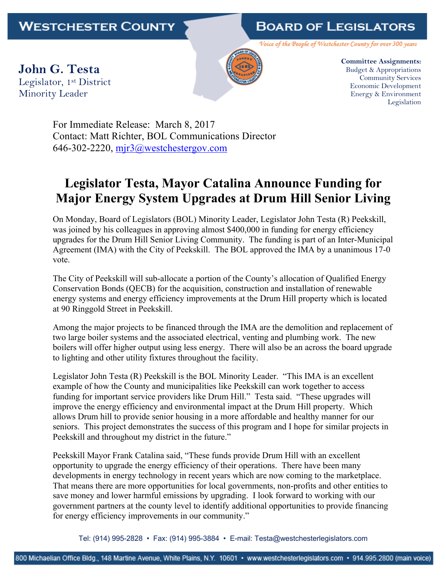## **BOARD OF LEGISLATORS**

Voice of the People of Westchester County for over 300 years

**John G. Testa** Legislator, 1st District Minority Leader



**Committee Assignments:** Budget & Appropriations Community Services Economic Development Energy & Environment Legislation

For Immediate Release: March 8, 2017 Contact: Matt Richter, BOL Communications Director 646-302-2220, mjr3@westchestergov.com

## **Legislator Testa, Mayor Catalina Announce Funding for Major Energy System Upgrades at Drum Hill Senior Living**

On Monday, Board of Legislators (BOL) Minority Leader, Legislator John Testa (R) Peekskill, was joined by his colleagues in approving almost \$400,000 in funding for energy efficiency upgrades for the Drum Hill Senior Living Community. The funding is part of an Inter-Municipal Agreement (IMA) with the City of Peekskill. The BOL approved the IMA by a unanimous 17-0 vote.

The City of Peekskill will sub-allocate a portion of the County's allocation of Qualified Energy Conservation Bonds (QECB) for the acquisition, construction and installation of renewable energy systems and energy efficiency improvements at the Drum Hill property which is located at 90 Ringgold Street in Peekskill.

Among the major projects to be financed through the IMA are the demolition and replacement of two large boiler systems and the associated electrical, venting and plumbing work. The new boilers will offer higher output using less energy. There will also be an across the board upgrade to lighting and other utility fixtures throughout the facility.

Legislator John Testa (R) Peekskill is the BOL Minority Leader. "This IMA is an excellent example of how the County and municipalities like Peekskill can work together to access funding for important service providers like Drum Hill." Testa said. "These upgrades will improve the energy efficiency and environmental impact at the Drum Hill property. Which allows Drum hill to provide senior housing in a more affordable and healthy manner for our seniors. This project demonstrates the success of this program and I hope for similar projects in Peekskill and throughout my district in the future."

Peekskill Mayor Frank Catalina said, "These funds provide Drum Hill with an excellent opportunity to upgrade the energy efficiency of their operations. There have been many developments in energy technology in recent years which are now coming to the marketplace. That means there are more opportunities for local governments, non-profits and other entities to save money and lower harmful emissions by upgrading. I look forward to working with our government partners at the county level to identify additional opportunities to provide financing for energy efficiency improvements in our community."

Tel: (914) 995-2828 • Fax: (914) 995-3884 • E-mail: Testa@westchesterlegislators.com